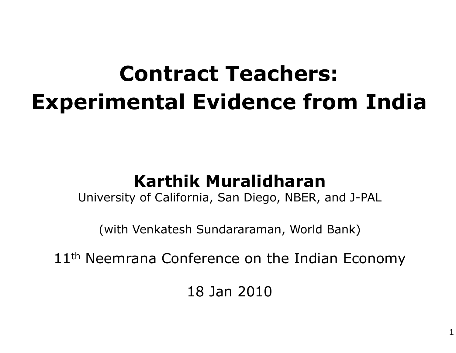# **Contract Teachers: Experimental Evidence from India**

#### **Karthik Muralidharan**

University of California, San Diego, NBER, and J-PAL

(with Venkatesh Sundararaman, World Bank)

11<sup>th</sup> Neemrana Conference on the Indian Economy

18 Jan 2010

1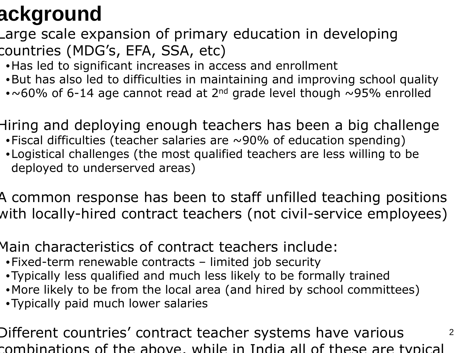# **Background**

Large scale expansion of primary education in developing countries (MDG's, EFA, SSA, etc)

- •Has led to significant increases in access and enrollment
- •But has also led to difficulties in maintaining and improving school quality
- $\bullet$ ~60% of 6-14 age cannot read at 2<sup>nd</sup> grade level though ~95% enrolled

Hiring and deploying enough teachers has been a big challenge

- •Fiscal difficulties (teacher salaries are ~90% of education spending)
- •Logistical challenges (the most qualified teachers are less willing to be deployed to underserved areas)

A common response has been to staff unfilled teaching positions with locally-hired contract teachers (not civil-service employees)

Main characteristics of contract teachers include:

- •Fixed-term renewable contracts limited job security
- •Typically less qualified and much less likely to be formally trained
- •More likely to be from the local area (and hired by school committees)
- •Typically paid much lower salaries

Different countries' contract teacher systems have various combinations of the above, while in India all of these are typical

2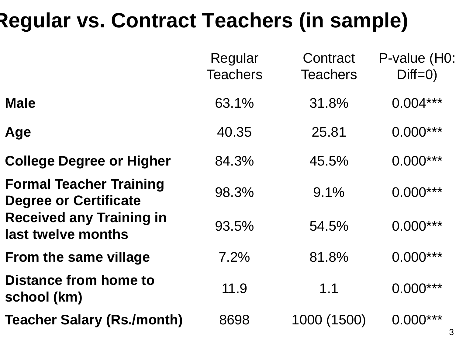### **Regular vs. Contract Teachers (in sample)**

|                                                                | Regular<br><b>Teachers</b> | Contract<br><b>Teachers</b> | P-value (H0:<br>$Diff=0)$ |
|----------------------------------------------------------------|----------------------------|-----------------------------|---------------------------|
| <b>Male</b>                                                    | 63.1%                      | 31.8%                       | $0.004***$                |
| Age                                                            | 40.35                      | 25.81                       | $0.000***$                |
| <b>College Degree or Higher</b>                                | 84.3%                      | 45.5%                       | $0.000***$                |
| <b>Formal Teacher Training</b><br><b>Degree or Certificate</b> | 98.3%                      | 9.1%                        | $0.000***$                |
| <b>Received any Training in</b><br>last twelve months          | 93.5%                      | 54.5%                       | $0.000***$                |
| <b>From the same village</b>                                   | 7.2%                       | 81.8%                       | $0.000***$                |
| Distance from home to<br>school (km)                           | 11.9                       | 1.1                         | $0.000***$                |
| <b>Teacher Salary (Rs./month)</b>                              | 8698                       | 1000 (1500)                 | $0.000***$                |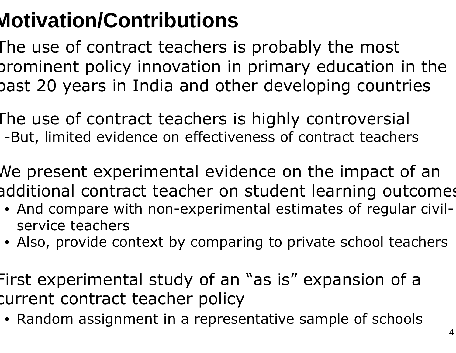# **Motivation/Contributions**

 The use of contract teachers is probably the most prominent policy innovation in primary education in the past 20 years in India and other developing countries

The use of contract teachers is highly controversial-But, limited evidence on effectiveness of contract teachers

We present experimental evidence on the impact of an additional contract teacher on student learning outcomes

- And compare with non-experimental estimates of regular civilservice teachers
- Also, provide context by comparing to private school teachers

First experimental study of an "as is" expansion of <sup>a</sup> current contract teacher policy

• Random assignment in a representative sample of schools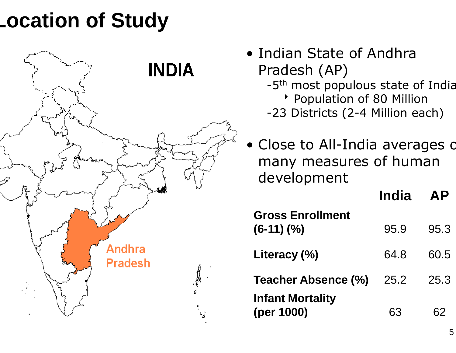### **Location of Study**



- Indian State of Andhra Pradesh (AP)
	- -5<sup>th</sup> most populous state of India
		-
	- \* Population of 80 Million<br>-23 Districts (2-4 Million each)
- •Close to All-India averages on many measures of human development

|                                       | <b>India</b> | <b>AP</b> |
|---------------------------------------|--------------|-----------|
| <b>Gross Enrollment</b><br>$(6-11)(%$ | 95.9         | 95.3      |
| Literacy (%)                          | 64.8         | 60.5      |
| <b>Teacher Absence (%)</b>            | 25.2         | 25.3      |
| <b>Infant Mortality</b><br>(per 1000) | 63           | 62        |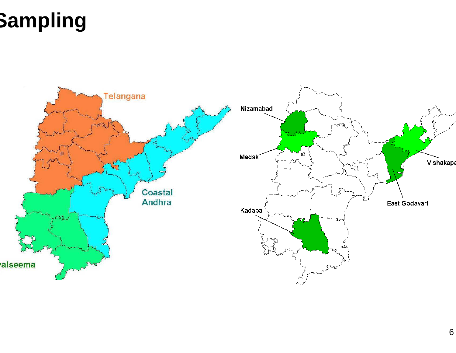# **Sampling**

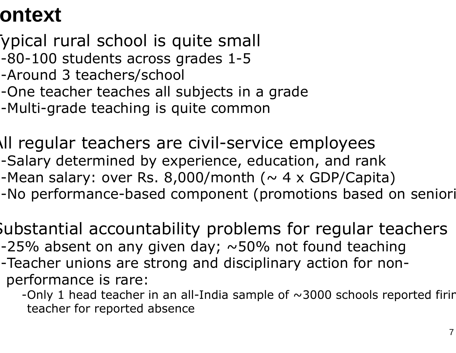#### **Context**

- Typical rural school is quite small
- -80-100 students across grades 1-5
- -Around 3 teachers/school
- -One teacher teaches all subjects in a grade
- -Multi-grade teaching is quite common
- All regular teachers are civil-service employees
	- -Salary determined by experience, education, and rank Salary
	- -Mean salary: over Rs. 8,000/month ( $\sim$  4 x GDP/Capita)
	- -Mean salary: over Rs. 8,000/month (~ 4 x GDP/Capita)<br>-No performance-based component (promotions based on seniori
	- Substantial accountability problems for regular teachers-25% absent on any given day;  $\sim$ 50% not found teaching -Teacher unions are strong and disciplinary action for non Teacher non-
	- performance is rare:
		- -Only 1 head teacher in an all-India sample of  $\sim$ 3000 schools reported firir teacher for reported absence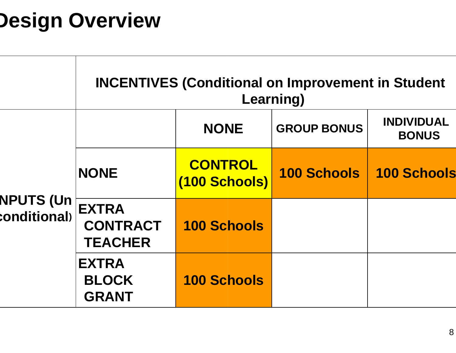# **Design Overview**

|                                     | <b>INCENTIVES (Conditional on Improvement in Student</b><br>Learning) |                                 |                    |                                   |  |
|-------------------------------------|-----------------------------------------------------------------------|---------------------------------|--------------------|-----------------------------------|--|
|                                     |                                                                       | <b>NONE</b>                     | <b>GROUP BONUS</b> | <b>INDIVIDUAL</b><br><b>BONUS</b> |  |
| NPUTS (Un $\dagger$<br>conditional) | <b>NONE</b>                                                           | <b>CONTROL</b><br>(100 Schools) | <b>100 Schools</b> | <b>100 Schools</b>                |  |
|                                     | <b>EXTRA</b><br><b>CONTRACT</b><br><b>TEACHER</b>                     | <b>100 Schools</b>              |                    |                                   |  |
|                                     | <b>EXTRA</b><br><b>BLOCK</b><br><b>GRANT</b>                          | <b>100 Schools</b>              |                    |                                   |  |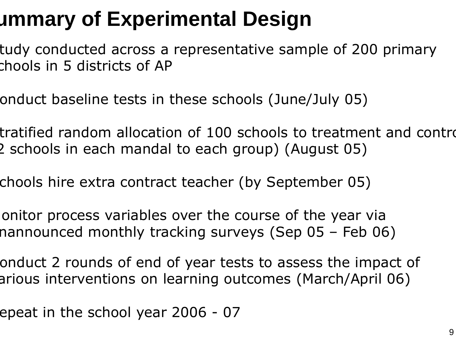## **Summary of Experimental Design**

- tudy conducted across a representative sample of 200 primary chools in 5 districts of AP
- onduct baseline tests in these schools (June/July 05)
- tratified random allocation of 100 schools to treatment and contro (2 schools in each mandal to each group) (August 05)
	- chools hire extra contract teacher (by September 05)
- onitor process variables over the course of the year via nannounced monthly tracking surveys (Sep 05 - Feb 06 – Feb 06)
	- onduct 2 rounds of end of year tests to assess the impact of arious interventions on learning outcomes (March/April 06)
- epeat in the school year 2006 - $-07$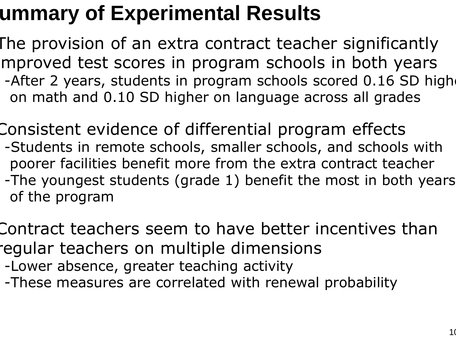#### **Summary of Experimental Results**

The provision of an extra contract teacher significantly mproved test scores in program schools in both years -After 2 years, students in program schools scored 0.16 SD high on math and 0.10 SD higher on language across all grades

Consistent evidence of differential program effects -Students in remote schools, smaller schools, and schools with Students in remote schools, smaller schools, and schools wit<br>poorer facilities benefit more from the extra contract teacher -The youngest students (grade 1) benefit the most in both years of the program

Contract teachers seem to have better incentives than regular teachers on multiple dimensions

-Lower absence, greater teaching activity

-Lower absence, greater teaching activity<br>-These measures are correlated with renewal probability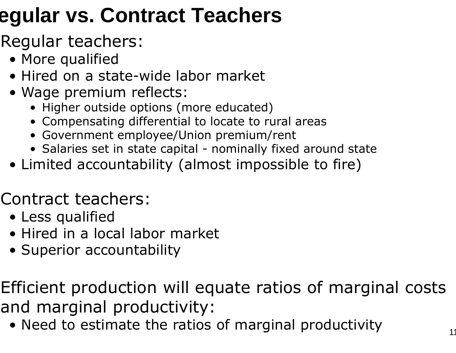## **Regular vs. Contract Teachers**

Regular teachers:

- More qualified
- Hired on a state-wide labor market wide
- Wage premium reflects:
	- Higher outside options (more educated)
	- Compensating differential to locate to rural areas
	- Government employee/Union premium/rent
	- Salaries set in state capital nominally fixed around state<br>imitod accountability (almost impossible to fire)
- Limited accountability (almost impossible to fire)

Contract teachers:

- Less qualified
- Hired in a local labor market
- Superior accountability

Efficient production will equate ratios of marginal costs and marginal productivity:

• Need to estimate the ratios of marginal productivity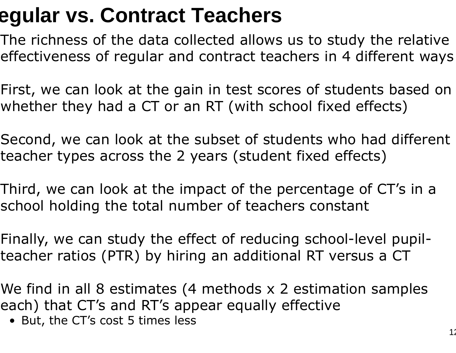#### **Regular vs. Contract Teachers**

 The richness of the data collected allows us to study the relative effectiveness of regular and contract teachers in 4 different ways

First, we can look at the gain in test scores of students based on whether they had a CT or an RT (with school fixed effects)

Second, we can look at the subset of students who had different teacher types across the 2 years (student fixed effects)

Third, we can look at the impact of the percentage of CT's in a school holding the total number of teachers constant

Finally, we can study the effect of reducing school-level pupil teacher ratios (PTR) by hiring an additional RT versus a CT-

We find in all 8 estimates (4 methods x 2 estimation samples each) that CT's and RT's appear equally effectiveples

• But, the CT's cost 5 times less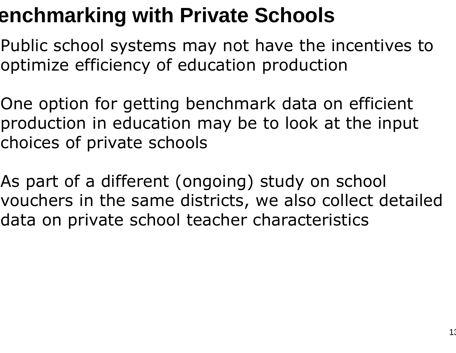### **Benchmarking with Private Schools**

- Public school systems may not have the incentives to optimize efficiency of education production
- One option for getting benchmark data on efficient production in education may be to look at the inputchoices of private schools
- As part of a different (ongoing) study on school vouchers in the same districts, we also collect detailed data on private school teacher characteristics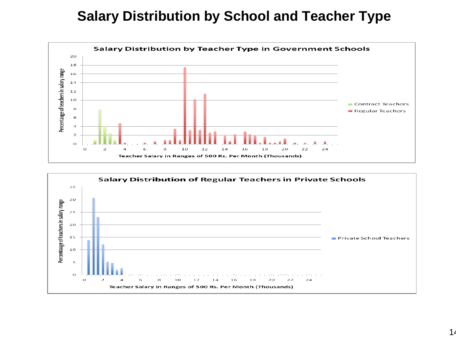#### **Salary Distribution by School and Teacher Type**



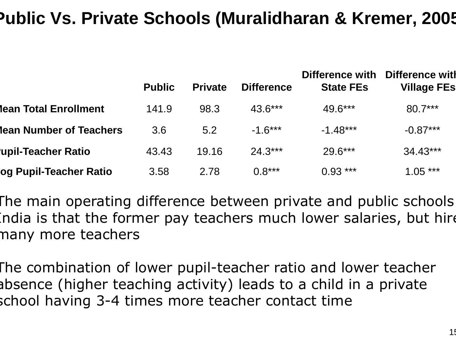#### **Public Vs. Private Schools (Muralidharan & Kremer, 2005)**

|                         | <b>Public</b> | <b>Private</b> | <b>Difference</b> | <b>Difference with</b><br><b>State FEs</b> | Difference with<br><b>Village FEs</b> |
|-------------------------|---------------|----------------|-------------------|--------------------------------------------|---------------------------------------|
| lean Total Enrollment   | 141.9         | 98.3           | $43.6***$         | 49.6***                                    | $80.7***$                             |
| lean Number of Teachers | 3.6           | 5.2            | $-1.6***$         | $-1.48***$                                 | $-0.87***$                            |
| upil-Teacher Ratio      | 43.43         | 19.16          | $24.3***$         | $29.6***$                                  | $34.43***$                            |
| log Pupil-Teacher Ratio | 3.58          | 2.78           | $0.8***$          | $0.93***$                                  | $1.05***$                             |

The main operating difference between private and public schools India is that the former pay teachers much lower salaries, but hire many more teachers

The combination of lower pupil-teacher ratio and lower teacher absence (higher teaching activity) leads to a child in a private school having 3-4 times more teacher contact timeof lower pupil-teacher<br>teaching activity) leads<br>4 times more teacher c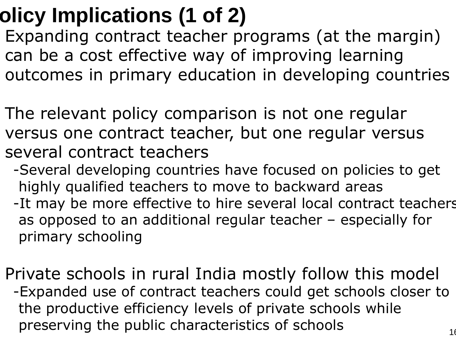# **Policy Implications (1 of 2)**

- Expanding contract teacher programs (at the margin) can be a cost effective way of improving learning outcomes in primary education in developing countries
	- The relevant policy comparison is not one regular versus one contract teacher, but one regular versusseveral contract teachers
		- -Several developing countries have focused on policies to get highly qualified teachers to move to backward areasSeveral developing countries have focused or<br>highly qualified teachers to move to backward<br>It may be more effective to hire several local<br>as opposed to an additional reqular teacher
		- -It may be more effective to hire several local contract teachers as opposed to an additional regular teacher – especially for<br>primary schooling primary schooling
- Private schools in rural India mostly follow this model-Expanded use of contract teachers could get schools closer to Expanded the productive efficiency levels of private schools while preserving the public characteristics of schools